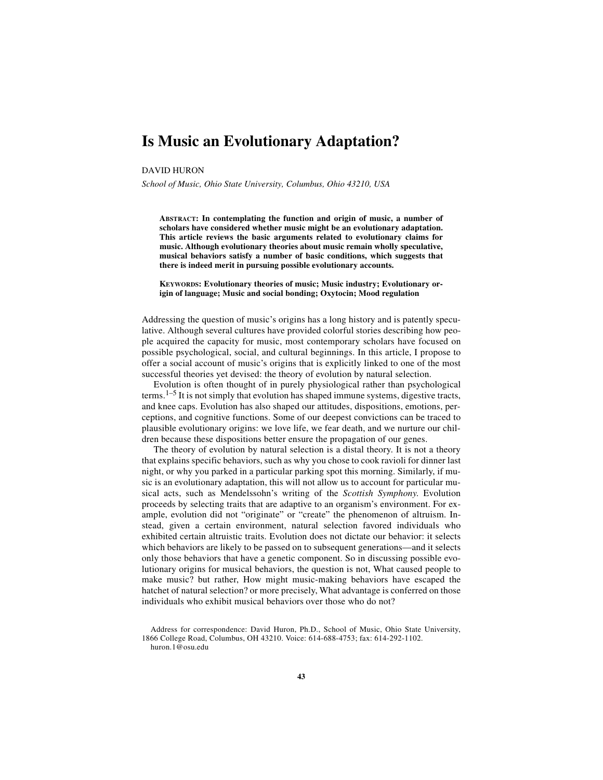# **Is Music an Evolutionary Adaptation?**

## DAVID HURON

*School of Music, Ohio State University, Columbus, Ohio 43210, USA*

**ABSTRACT: In contemplating the function and origin of music, a number of scholars have considered whether music might be an evolutionary adaptation. This article reviews the basic arguments related to evolutionary claims for music. Although evolutionary theories about music remain wholly speculative, musical behaviors satisfy a number of basic conditions, which suggests that there is indeed merit in pursuing possible evolutionary accounts.**

#### **KEYWORDS: Evolutionary theories of music; Music industry; Evolutionary origin of language; Music and social bonding; Oxytocin; Mood regulation**

Addressing the question of music's origins has a long history and is patently speculative. Although several cultures have provided colorful stories describing how people acquired the capacity for music, most contemporary scholars have focused on possible psychological, social, and cultural beginnings. In this article, I propose to offer a social account of music's origins that is explicitly linked to one of the most successful theories yet devised: the theory of evolution by natural selection.

Evolution is often thought of in purely physiological rather than psychological terms.<sup>1–5</sup> It is not simply that evolution has shaped immune systems, digestive tracts, and knee caps. Evolution has also shaped our attitudes, dispositions, emotions, perceptions, and cognitive functions. Some of our deepest convictions can be traced to plausible evolutionary origins: we love life, we fear death, and we nurture our children because these dispositions better ensure the propagation of our genes.

The theory of evolution by natural selection is a distal theory. It is not a theory that explains specific behaviors, such as why you chose to cook ravioli for dinner last night, or why you parked in a particular parking spot this morning. Similarly, if music is an evolutionary adaptation, this will not allow us to account for particular musical acts, such as Mendelssohn's writing of the *Scottish Symphony*. Evolution proceeds by selecting traits that are adaptive to an organism's environment. For example, evolution did not "originate" or "create" the phenomenon of altruism. Instead, given a certain environment, natural selection favored individuals who exhibited certain altruistic traits. Evolution does not dictate our behavior: it selects which behaviors are likely to be passed on to subsequent generations—and it selects only those behaviors that have a genetic component. So in discussing possible evolutionary origins for musical behaviors, the question is not, What caused people to make music? but rather, How might music-making behaviors have escaped the hatchet of natural selection? or more precisely, What advantage is conferred on those individuals who exhibit musical behaviors over those who do not?

Address for correspondence: David Huron, Ph.D., School of Music, Ohio State University, 1866 College Road, Columbus, OH 43210. Voice: 614-688-4753; fax: 614-292-1102. huron.1@osu.edu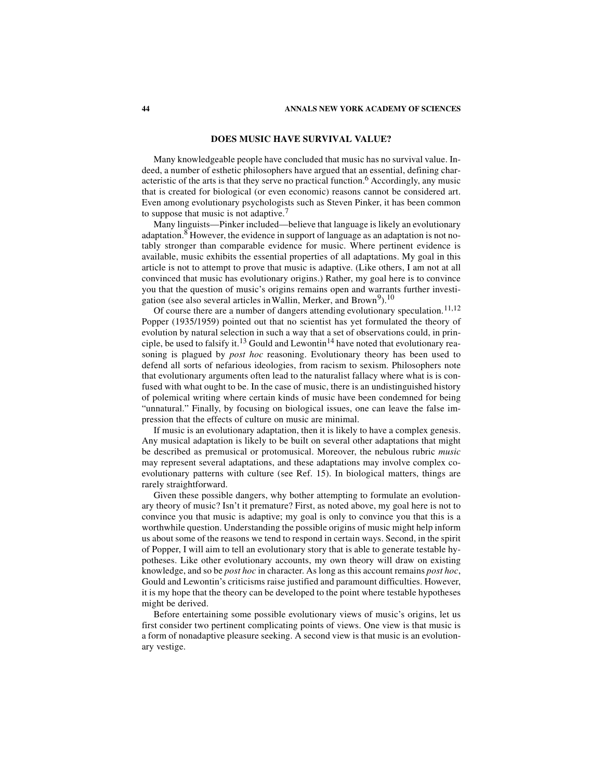## **DOES MUSIC HAVE SURVIVAL VALUE?**

Many knowledgeable people have concluded that music has no survival value. Indeed, a number of esthetic philosophers have argued that an essential, defining characteristic of the arts is that they serve no practical function.<sup>6</sup> Accordingly, any music that is created for biological (or even economic) reasons cannot be considered art. Even among evolutionary psychologists such as Steven Pinker, it has been common to suppose that music is not adaptive.<sup>7</sup>

Many linguists—Pinker included—believe that language is likely an evolutionary adaptation.8 However, the evidence in support of language as an adaptation is not notably stronger than comparable evidence for music. Where pertinent evidence is available, music exhibits the essential properties of all adaptations. My goal in this article is not to attempt to prove that music is adaptive. (Like others, I am not at all convinced that music has evolutionary origins.) Rather, my goal here is to convince you that the question of music's origins remains open and warrants further investigation (see also several articles in Wallin, Merker, and Brown<sup>9</sup>).<sup>10</sup>

Of course there are a number of dangers attending evolutionary speculation.<sup>11,12</sup> Popper (1935/1959) pointed out that no scientist has yet formulated the theory of evolution by natural selection in such a way that a set of observations could, in principle, be used to falsify it.<sup>13</sup> Gould and Lewontin<sup>14</sup> have noted that evolutionary reasoning is plagued by *post hoc* reasoning. Evolutionary theory has been used to defend all sorts of nefarious ideologies, from racism to sexism. Philosophers note that evolutionary arguments often lead to the naturalist fallacy where what is is confused with what ought to be. In the case of music, there is an undistinguished history of polemical writing where certain kinds of music have been condemned for being "unnatural." Finally, by focusing on biological issues, one can leave the false impression that the effects of culture on music are minimal.

If music is an evolutionary adaptation, then it is likely to have a complex genesis. Any musical adaptation is likely to be built on several other adaptations that might be described as premusical or protomusical. Moreover, the nebulous rubric *music* may represent several adaptations, and these adaptations may involve complex coevolutionary patterns with culture (see Ref. 15). In biological matters, things are rarely straightforward.

Given these possible dangers, why bother attempting to formulate an evolutionary theory of music? Isn't it premature? First, as noted above, my goal here is not to convince you that music is adaptive; my goal is only to convince you that this is a worthwhile question. Understanding the possible origins of music might help inform us about some of the reasons we tend to respond in certain ways. Second, in the spirit of Popper, I will aim to tell an evolutionary story that is able to generate testable hypotheses. Like other evolutionary accounts, my own theory will draw on existing knowledge, and so be *post hoc* in character. As long as this account remains *post hoc*, Gould and Lewontin's criticisms raise justified and paramount difficulties. However, it is my hope that the theory can be developed to the point where testable hypotheses might be derived.

Before entertaining some possible evolutionary views of music's origins, let us first consider two pertinent complicating points of views. One view is that music is a form of nonadaptive pleasure seeking. A second view is that music is an evolutionary vestige.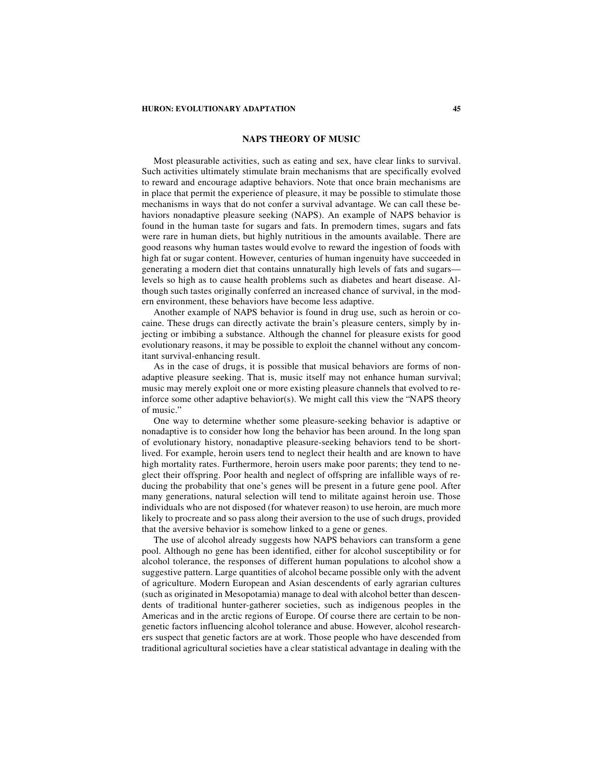# **NAPS THEORY OF MUSIC**

Most pleasurable activities, such as eating and sex, have clear links to survival. Such activities ultimately stimulate brain mechanisms that are specifically evolved to reward and encourage adaptive behaviors. Note that once brain mechanisms are in place that permit the experience of pleasure, it may be possible to stimulate those mechanisms in ways that do not confer a survival advantage. We can call these behaviors nonadaptive pleasure seeking (NAPS). An example of NAPS behavior is found in the human taste for sugars and fats. In premodern times, sugars and fats were rare in human diets, but highly nutritious in the amounts available. There are good reasons why human tastes would evolve to reward the ingestion of foods with high fat or sugar content. However, centuries of human ingenuity have succeeded in generating a modern diet that contains unnaturally high levels of fats and sugars levels so high as to cause health problems such as diabetes and heart disease. Although such tastes originally conferred an increased chance of survival, in the modern environment, these behaviors have become less adaptive.

Another example of NAPS behavior is found in drug use, such as heroin or cocaine. These drugs can directly activate the brain's pleasure centers, simply by injecting or imbibing a substance. Although the channel for pleasure exists for good evolutionary reasons, it may be possible to exploit the channel without any concomitant survival-enhancing result.

As in the case of drugs, it is possible that musical behaviors are forms of nonadaptive pleasure seeking. That is, music itself may not enhance human survival; music may merely exploit one or more existing pleasure channels that evolved to reinforce some other adaptive behavior(s). We might call this view the "NAPS theory of music."

One way to determine whether some pleasure-seeking behavior is adaptive or nonadaptive is to consider how long the behavior has been around. In the long span of evolutionary history, nonadaptive pleasure-seeking behaviors tend to be shortlived. For example, heroin users tend to neglect their health and are known to have high mortality rates. Furthermore, heroin users make poor parents; they tend to neglect their offspring. Poor health and neglect of offspring are infallible ways of reducing the probability that one's genes will be present in a future gene pool. After many generations, natural selection will tend to militate against heroin use. Those individuals who are not disposed (for whatever reason) to use heroin, are much more likely to procreate and so pass along their aversion to the use of such drugs, provided that the aversive behavior is somehow linked to a gene or genes.

The use of alcohol already suggests how NAPS behaviors can transform a gene pool. Although no gene has been identified, either for alcohol susceptibility or for alcohol tolerance, the responses of different human populations to alcohol show a suggestive pattern. Large quantities of alcohol became possible only with the advent of agriculture. Modern European and Asian descendents of early agrarian cultures (such as originated in Mesopotamia) manage to deal with alcohol better than descendents of traditional hunter-gatherer societies, such as indigenous peoples in the Americas and in the arctic regions of Europe. Of course there are certain to be nongenetic factors influencing alcohol tolerance and abuse. However, alcohol researchers suspect that genetic factors are at work. Those people who have descended from traditional agricultural societies have a clear statistical advantage in dealing with the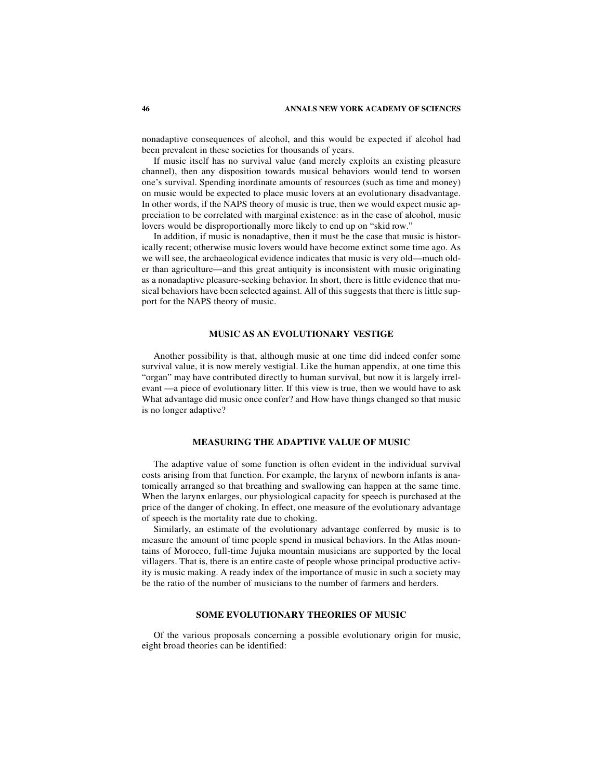nonadaptive consequences of alcohol, and this would be expected if alcohol had been prevalent in these societies for thousands of years.

If music itself has no survival value (and merely exploits an existing pleasure channel), then any disposition towards musical behaviors would tend to worsen one's survival. Spending inordinate amounts of resources (such as time and money) on music would be expected to place music lovers at an evolutionary disadvantage. In other words, if the NAPS theory of music is true, then we would expect music appreciation to be correlated with marginal existence: as in the case of alcohol, music lovers would be disproportionally more likely to end up on "skid row."

In addition, if music is nonadaptive, then it must be the case that music is historically recent; otherwise music lovers would have become extinct some time ago. As we will see, the archaeological evidence indicates that music is very old—much older than agriculture—and this great antiquity is inconsistent with music originating as a nonadaptive pleasure-seeking behavior. In short, there is little evidence that musical behaviors have been selected against. All of this suggests that there is little support for the NAPS theory of music.

## **MUSIC AS AN EVOLUTIONARY VESTIGE**

Another possibility is that, although music at one time did indeed confer some survival value, it is now merely vestigial. Like the human appendix, at one time this "organ" may have contributed directly to human survival, but now it is largely irrelevant —a piece of evolutionary litter. If this view is true, then we would have to ask What advantage did music once confer? and How have things changed so that music is no longer adaptive?

# **MEASURING THE ADAPTIVE VALUE OF MUSIC**

The adaptive value of some function is often evident in the individual survival costs arising from that function. For example, the larynx of newborn infants is anatomically arranged so that breathing and swallowing can happen at the same time. When the larynx enlarges, our physiological capacity for speech is purchased at the price of the danger of choking. In effect, one measure of the evolutionary advantage of speech is the mortality rate due to choking.

Similarly, an estimate of the evolutionary advantage conferred by music is to measure the amount of time people spend in musical behaviors. In the Atlas mountains of Morocco, full-time Jujuka mountain musicians are supported by the local villagers. That is, there is an entire caste of people whose principal productive activity is music making. A ready index of the importance of music in such a society may be the ratio of the number of musicians to the number of farmers and herders.

# **SOME EVOLUTIONARY THEORIES OF MUSIC**

Of the various proposals concerning a possible evolutionary origin for music, eight broad theories can be identified: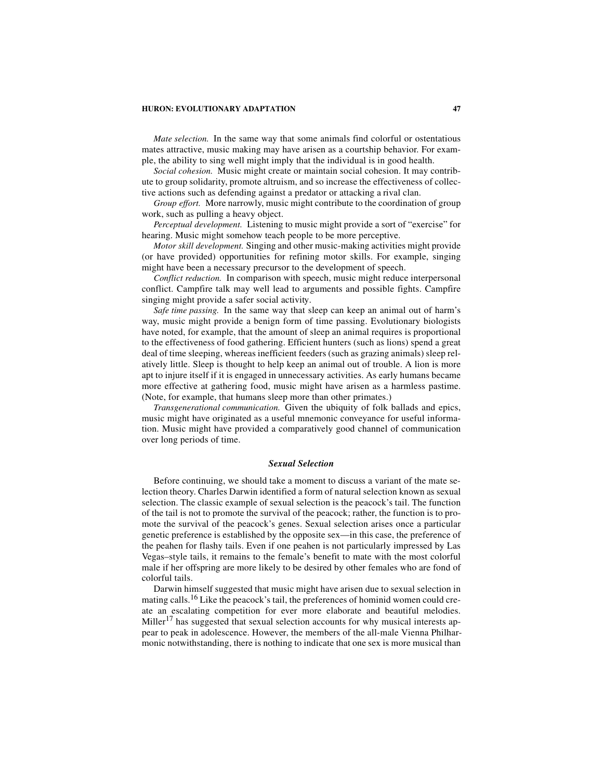*Mate selection.* In the same way that some animals find colorful or ostentatious mates attractive, music making may have arisen as a courtship behavior. For example, the ability to sing well might imply that the individual is in good health.

*Social cohesion.* Music might create or maintain social cohesion. It may contribute to group solidarity, promote altruism, and so increase the effectiveness of collective actions such as defending against a predator or attacking a rival clan.

*Group effort.* More narrowly, music might contribute to the coordination of group work, such as pulling a heavy object.

*Perceptual development.* Listening to music might provide a sort of "exercise" for hearing. Music might somehow teach people to be more perceptive.

*Motor skill development.* Singing and other music-making activities might provide (or have provided) opportunities for refining motor skills. For example, singing might have been a necessary precursor to the development of speech.

*Conflict reduction.* In comparison with speech, music might reduce interpersonal conflict. Campfire talk may well lead to arguments and possible fights. Campfire singing might provide a safer social activity.

*Safe time passing.* In the same way that sleep can keep an animal out of harm's way, music might provide a benign form of time passing. Evolutionary biologists have noted, for example, that the amount of sleep an animal requires is proportional to the effectiveness of food gathering. Efficient hunters (such as lions) spend a great deal of time sleeping, whereas inefficient feeders (such as grazing animals) sleep relatively little. Sleep is thought to help keep an animal out of trouble. A lion is more apt to injure itself if it is engaged in unnecessary activities. As early humans became more effective at gathering food, music might have arisen as a harmless pastime. (Note, for example, that humans sleep more than other primates.)

*Transgenerational communication.* Given the ubiquity of folk ballads and epics, music might have originated as a useful mnemonic conveyance for useful information. Music might have provided a comparatively good channel of communication over long periods of time.

## *Sexual Selection*

Before continuing, we should take a moment to discuss a variant of the mate selection theory. Charles Darwin identified a form of natural selection known as sexual selection. The classic example of sexual selection is the peacock's tail. The function of the tail is not to promote the survival of the peacock; rather, the function is to promote the survival of the peacock's genes. Sexual selection arises once a particular genetic preference is established by the opposite sex—in this case, the preference of the peahen for flashy tails. Even if one peahen is not particularly impressed by Las Vegas–style tails, it remains to the female's benefit to mate with the most colorful male if her offspring are more likely to be desired by other females who are fond of colorful tails.

Darwin himself suggested that music might have arisen due to sexual selection in mating calls.<sup>16</sup> Like the peacock's tail, the preferences of hominid women could create an escalating competition for ever more elaborate and beautiful melodies. Miller<sup>17</sup> has suggested that sexual selection accounts for why musical interests appear to peak in adolescence. However, the members of the all-male Vienna Philharmonic notwithstanding, there is nothing to indicate that one sex is more musical than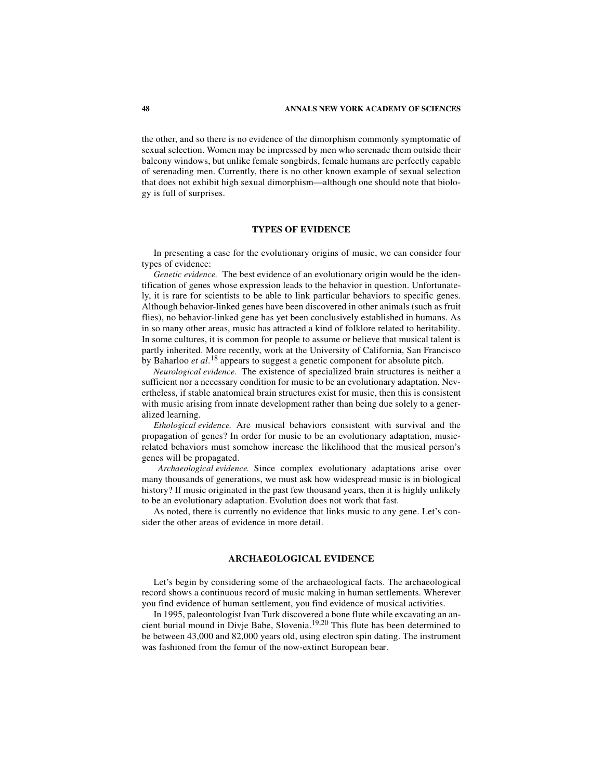the other, and so there is no evidence of the dimorphism commonly symptomatic of sexual selection. Women may be impressed by men who serenade them outside their balcony windows, but unlike female songbirds, female humans are perfectly capable of serenading men. Currently, there is no other known example of sexual selection that does not exhibit high sexual dimorphism—although one should note that biology is full of surprises.

## **TYPES OF EVIDENCE**

In presenting a case for the evolutionary origins of music, we can consider four types of evidence:

*Genetic evidence.* The best evidence of an evolutionary origin would be the identification of genes whose expression leads to the behavior in question. Unfortunately, it is rare for scientists to be able to link particular behaviors to specific genes. Although behavior-linked genes have been discovered in other animals (such as fruit flies), no behavior-linked gene has yet been conclusively established in humans. As in so many other areas, music has attracted a kind of folklore related to heritability. In some cultures, it is common for people to assume or believe that musical talent is partly inherited. More recently, work at the University of California, San Francisco by Baharloo *et al*. 18 appears to suggest a genetic component for absolute pitch.

*Neurological evidence.* The existence of specialized brain structures is neither a sufficient nor a necessary condition for music to be an evolutionary adaptation. Nevertheless, if stable anatomical brain structures exist for music, then this is consistent with music arising from innate development rather than being due solely to a generalized learning.

*Ethological evidence.* Are musical behaviors consistent with survival and the propagation of genes? In order for music to be an evolutionary adaptation, musicrelated behaviors must somehow increase the likelihood that the musical person's genes will be propagated.

 *Archaeological evidence.* Since complex evolutionary adaptations arise over many thousands of generations, we must ask how widespread music is in biological history? If music originated in the past few thousand years, then it is highly unlikely to be an evolutionary adaptation. Evolution does not work that fast.

As noted, there is currently no evidence that links music to any gene. Let's consider the other areas of evidence in more detail.

# **ARCHAEOLOGICAL EVIDENCE**

Let's begin by considering some of the archaeological facts. The archaeological record shows a continuous record of music making in human settlements. Wherever you find evidence of human settlement, you find evidence of musical activities.

In 1995, paleontologist Ivan Turk discovered a bone flute while excavating an ancient burial mound in Divje Babe, Slovenia.19,20 This flute has been determined to be between 43,000 and 82,000 years old, using electron spin dating. The instrument was fashioned from the femur of the now-extinct European bear.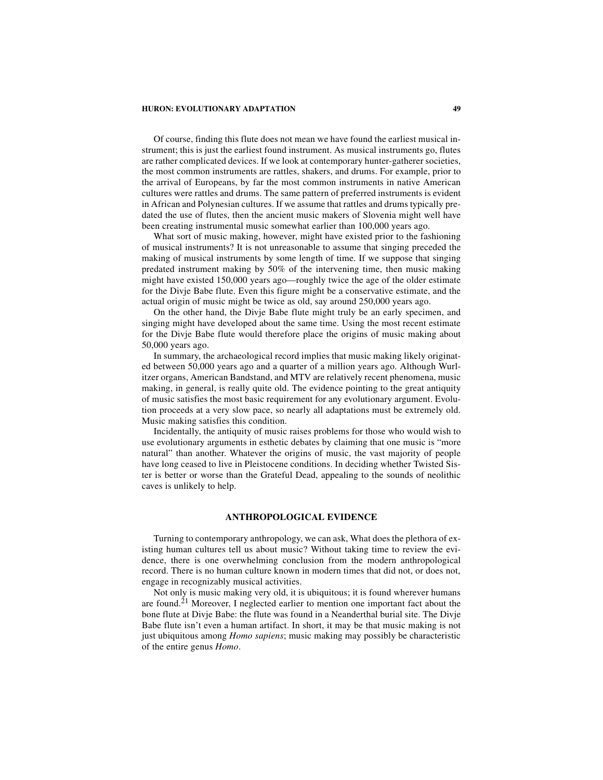Of course, finding this flute does not mean we have found the earliest musical instrument; this is just the earliest found instrument. As musical instruments go, flutes are rather complicated devices. If we look at contemporary hunter-gatherer societies, the most common instruments are rattles, shakers, and drums. For example, prior to the arrival of Europeans, by far the most common instruments in native American cultures were rattles and drums. The same pattern of preferred instruments is evident in African and Polynesian cultures. If we assume that rattles and drums typically predated the use of flutes, then the ancient music makers of Slovenia might well have been creating instrumental music somewhat earlier than 100,000 years ago.

What sort of music making, however, might have existed prior to the fashioning of musical instruments? It is not unreasonable to assume that singing preceded the making of musical instruments by some length of time. If we suppose that singing predated instrument making by 50% of the intervening time, then music making might have existed 150,000 years ago—roughly twice the age of the older estimate for the Divje Babe flute. Even this figure might be a conservative estimate, and the actual origin of music might be twice as old, say around 250,000 years ago.

On the other hand, the Divje Babe flute might truly be an early specimen, and singing might have developed about the same time. Using the most recent estimate for the Divje Babe flute would therefore place the origins of music making about 50,000 years ago.

In summary, the archaeological record implies that music making likely originated between 50,000 years ago and a quarter of a million years ago. Although Wurlitzer organs, American Bandstand, and MTV are relatively recent phenomena, music making, in general, is really quite old. The evidence pointing to the great antiquity of music satisfies the most basic requirement for any evolutionary argument. Evolution proceeds at a very slow pace, so nearly all adaptations must be extremely old. Music making satisfies this condition.

Incidentally, the antiquity of music raises problems for those who would wish to use evolutionary arguments in esthetic debates by claiming that one music is "more natural" than another. Whatever the origins of music, the vast majority of people have long ceased to live in Pleistocene conditions. In deciding whether Twisted Sister is better or worse than the Grateful Dead, appealing to the sounds of neolithic caves is unlikely to help.

# **ANTHROPOLOGICAL EVIDENCE**

Turning to contemporary anthropology, we can ask, What does the plethora of existing human cultures tell us about music? Without taking time to review the evidence, there is one overwhelming conclusion from the modern anthropological record. There is no human culture known in modern times that did not, or does not, engage in recognizably musical activities.

Not only is music making very old, it is ubiquitous; it is found wherever humans are found.21 Moreover, I neglected earlier to mention one important fact about the bone flute at Divje Babe: the flute was found in a Neanderthal burial site. The Divje Babe flute isn't even a human artifact. In short, it may be that music making is not just ubiquitous among *Homo sapiens*; music making may possibly be characteristic of the entire genus *Homo*.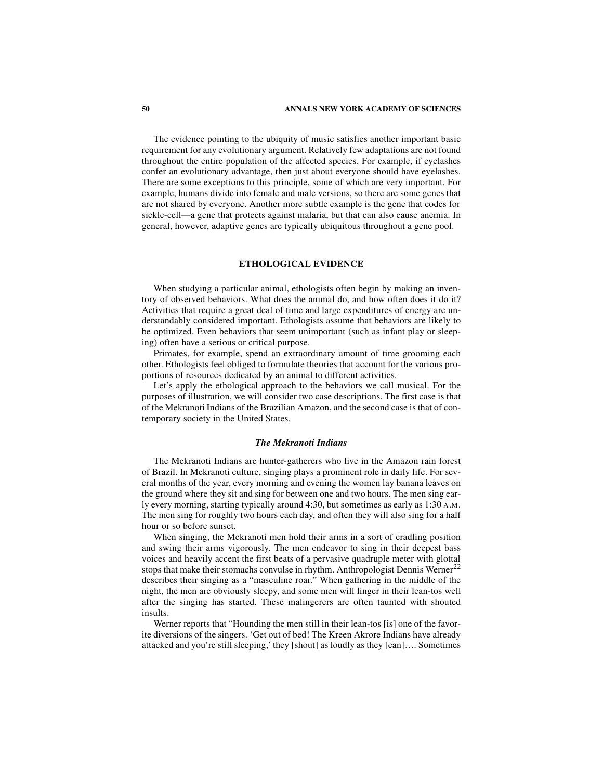#### **50 ANNALS NEW YORK ACADEMY OF SCIENCES**

The evidence pointing to the ubiquity of music satisfies another important basic requirement for any evolutionary argument. Relatively few adaptations are not found throughout the entire population of the affected species. For example, if eyelashes confer an evolutionary advantage, then just about everyone should have eyelashes. There are some exceptions to this principle, some of which are very important. For example, humans divide into female and male versions, so there are some genes that are not shared by everyone. Another more subtle example is the gene that codes for sickle-cell—a gene that protects against malaria, but that can also cause anemia. In general, however, adaptive genes are typically ubiquitous throughout a gene pool.

## **ETHOLOGICAL EVIDENCE**

When studying a particular animal, ethologists often begin by making an inventory of observed behaviors. What does the animal do, and how often does it do it? Activities that require a great deal of time and large expenditures of energy are understandably considered important. Ethologists assume that behaviors are likely to be optimized. Even behaviors that seem unimportant (such as infant play or sleeping) often have a serious or critical purpose.

Primates, for example, spend an extraordinary amount of time grooming each other. Ethologists feel obliged to formulate theories that account for the various proportions of resources dedicated by an animal to different activities.

Let's apply the ethological approach to the behaviors we call musical. For the purposes of illustration, we will consider two case descriptions. The first case is that of the Mekranoti Indians of the Brazilian Amazon, and the second case is that of contemporary society in the United States.

## *The Mekranoti Indians*

The Mekranoti Indians are hunter-gatherers who live in the Amazon rain forest of Brazil. In Mekranoti culture, singing plays a prominent role in daily life. For several months of the year, every morning and evening the women lay banana leaves on the ground where they sit and sing for between one and two hours. The men sing early every morning, starting typically around 4:30, but sometimes as early as 1:30 A.M. The men sing for roughly two hours each day, and often they will also sing for a half hour or so before sunset.

When singing, the Mekranoti men hold their arms in a sort of cradling position and swing their arms vigorously. The men endeavor to sing in their deepest bass voices and heavily accent the first beats of a pervasive quadruple meter with glottal stops that make their stomachs convulse in rhythm. Anthropologist Dennis Werner<sup>22</sup> describes their singing as a "masculine roar." When gathering in the middle of the night, the men are obviously sleepy, and some men will linger in their lean-tos well after the singing has started. These malingerers are often taunted with shouted insults.

Werner reports that "Hounding the men still in their lean-tos [is] one of the favorite diversions of the singers. 'Get out of bed! The Kreen Akrore Indians have already attacked and you're still sleeping,' they [shout] as loudly as they [can]…. Sometimes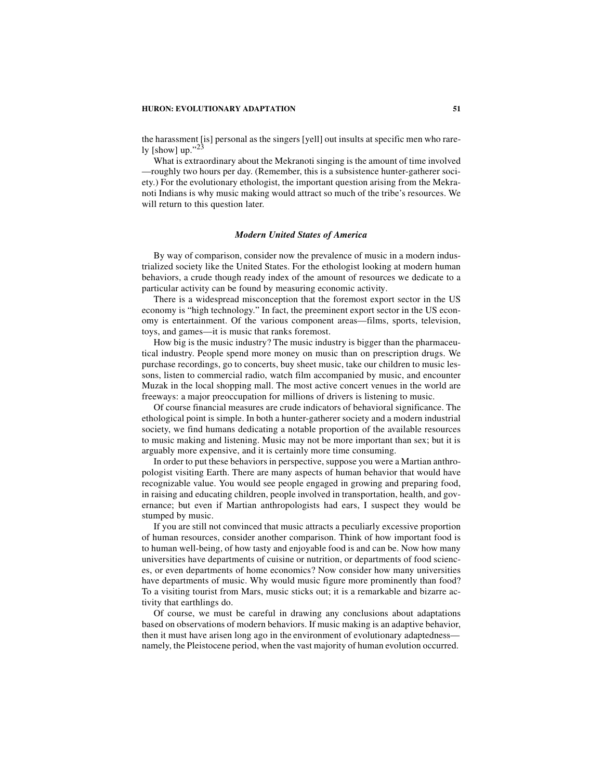the harassment [is] personal as the singers [yell] out insults at specific men who rarely [show] up." $2\overline{3}$ 

What is extraordinary about the Mekranoti singing is the amount of time involved —roughly two hours per day. (Remember, this is a subsistence hunter-gatherer society.) For the evolutionary ethologist, the important question arising from the Mekranoti Indians is why music making would attract so much of the tribe's resources. We will return to this question later.

# *Modern United States of America*

By way of comparison, consider now the prevalence of music in a modern industrialized society like the United States. For the ethologist looking at modern human behaviors, a crude though ready index of the amount of resources we dedicate to a particular activity can be found by measuring economic activity.

There is a widespread misconception that the foremost export sector in the US economy is "high technology." In fact, the preeminent export sector in the US economy is entertainment. Of the various component areas—films, sports, television, toys, and games—it is music that ranks foremost.

How big is the music industry? The music industry is bigger than the pharmaceutical industry. People spend more money on music than on prescription drugs. We purchase recordings, go to concerts, buy sheet music, take our children to music lessons, listen to commercial radio, watch film accompanied by music, and encounter Muzak in the local shopping mall. The most active concert venues in the world are freeways: a major preoccupation for millions of drivers is listening to music.

Of course financial measures are crude indicators of behavioral significance. The ethological point is simple. In both a hunter-gatherer society and a modern industrial society, we find humans dedicating a notable proportion of the available resources to music making and listening. Music may not be more important than sex; but it is arguably more expensive, and it is certainly more time consuming.

In order to put these behaviors in perspective, suppose you were a Martian anthropologist visiting Earth. There are many aspects of human behavior that would have recognizable value. You would see people engaged in growing and preparing food, in raising and educating children, people involved in transportation, health, and governance; but even if Martian anthropologists had ears, I suspect they would be stumped by music.

If you are still not convinced that music attracts a peculiarly excessive proportion of human resources, consider another comparison. Think of how important food is to human well-being, of how tasty and enjoyable food is and can be. Now how many universities have departments of cuisine or nutrition, or departments of food sciences, or even departments of home economics? Now consider how many universities have departments of music. Why would music figure more prominently than food? To a visiting tourist from Mars, music sticks out; it is a remarkable and bizarre activity that earthlings do.

Of course, we must be careful in drawing any conclusions about adaptations based on observations of modern behaviors. If music making is an adaptive behavior, then it must have arisen long ago in the environment of evolutionary adaptedness namely, the Pleistocene period, when the vast majority of human evolution occurred.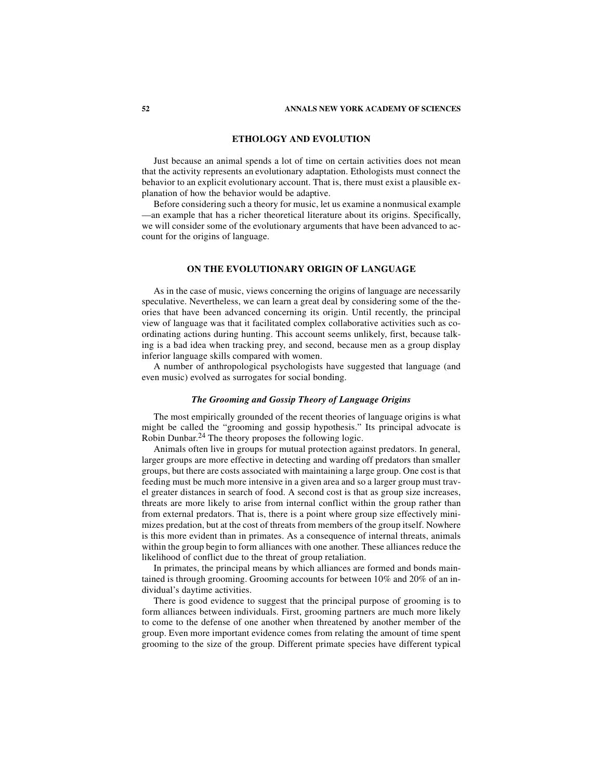## **ETHOLOGY AND EVOLUTION**

Just because an animal spends a lot of time on certain activities does not mean that the activity represents an evolutionary adaptation. Ethologists must connect the behavior to an explicit evolutionary account. That is, there must exist a plausible explanation of how the behavior would be adaptive.

Before considering such a theory for music, let us examine a nonmusical example —an example that has a richer theoretical literature about its origins. Specifically, we will consider some of the evolutionary arguments that have been advanced to account for the origins of language.

# **ON THE EVOLUTIONARY ORIGIN OF LANGUAGE**

As in the case of music, views concerning the origins of language are necessarily speculative. Nevertheless, we can learn a great deal by considering some of the theories that have been advanced concerning its origin. Until recently, the principal view of language was that it facilitated complex collaborative activities such as coordinating actions during hunting. This account seems unlikely, first, because talking is a bad idea when tracking prey, and second, because men as a group display inferior language skills compared with women.

A number of anthropological psychologists have suggested that language (and even music) evolved as surrogates for social bonding.

## *The Grooming and Gossip Theory of Language Origins*

The most empirically grounded of the recent theories of language origins is what might be called the "grooming and gossip hypothesis." Its principal advocate is Robin Dunbar.24 The theory proposes the following logic.

Animals often live in groups for mutual protection against predators. In general, larger groups are more effective in detecting and warding off predators than smaller groups, but there are costs associated with maintaining a large group. One cost is that feeding must be much more intensive in a given area and so a larger group must travel greater distances in search of food. A second cost is that as group size increases, threats are more likely to arise from internal conflict within the group rather than from external predators. That is, there is a point where group size effectively minimizes predation, but at the cost of threats from members of the group itself. Nowhere is this more evident than in primates. As a consequence of internal threats, animals within the group begin to form alliances with one another. These alliances reduce the likelihood of conflict due to the threat of group retaliation.

In primates, the principal means by which alliances are formed and bonds maintained is through grooming. Grooming accounts for between 10% and 20% of an individual's daytime activities.

There is good evidence to suggest that the principal purpose of grooming is to form alliances between individuals. First, grooming partners are much more likely to come to the defense of one another when threatened by another member of the group. Even more important evidence comes from relating the amount of time spent grooming to the size of the group. Different primate species have different typical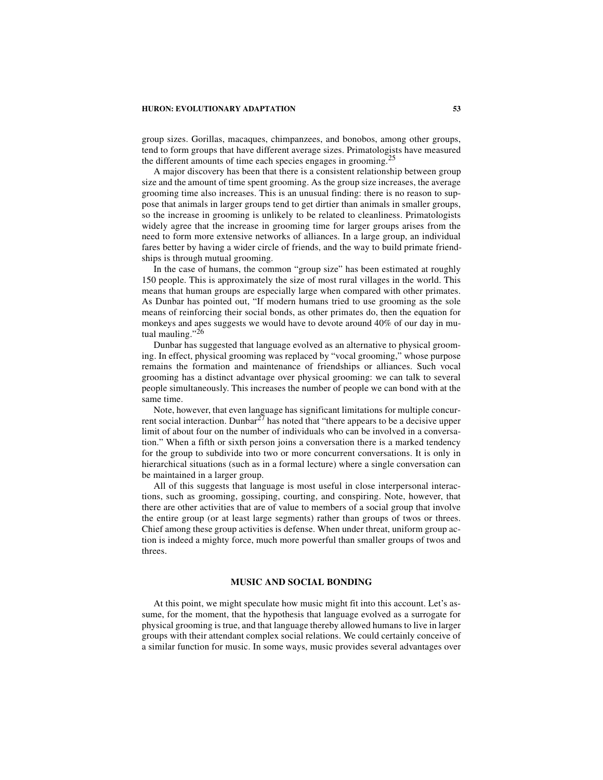group sizes. Gorillas, macaques, chimpanzees, and bonobos, among other groups, tend to form groups that have different average sizes. Primatologists have measured the different amounts of time each species engages in grooming.

A major discovery has been that there is a consistent relationship between group size and the amount of time spent grooming. As the group size increases, the average grooming time also increases. This is an unusual finding: there is no reason to suppose that animals in larger groups tend to get dirtier than animals in smaller groups, so the increase in grooming is unlikely to be related to cleanliness. Primatologists widely agree that the increase in grooming time for larger groups arises from the need to form more extensive networks of alliances. In a large group, an individual fares better by having a wider circle of friends, and the way to build primate friendships is through mutual grooming.

In the case of humans, the common "group size" has been estimated at roughly 150 people. This is approximately the size of most rural villages in the world. This means that human groups are especially large when compared with other primates. As Dunbar has pointed out, "If modern humans tried to use grooming as the sole means of reinforcing their social bonds, as other primates do, then the equation for monkeys and apes suggests we would have to devote around 40% of our day in mutual mauling."<sup>26</sup>

Dunbar has suggested that language evolved as an alternative to physical grooming. In effect, physical grooming was replaced by "vocal grooming," whose purpose remains the formation and maintenance of friendships or alliances. Such vocal grooming has a distinct advantage over physical grooming: we can talk to several people simultaneously. This increases the number of people we can bond with at the same time.

Note, however, that even language has significant limitations for multiple concurrent social interaction. Dunbar $^{27}$  has noted that "there appears to be a decisive upper limit of about four on the number of individuals who can be involved in a conversation." When a fifth or sixth person joins a conversation there is a marked tendency for the group to subdivide into two or more concurrent conversations. It is only in hierarchical situations (such as in a formal lecture) where a single conversation can be maintained in a larger group.

All of this suggests that language is most useful in close interpersonal interactions, such as grooming, gossiping, courting, and conspiring. Note, however, that there are other activities that are of value to members of a social group that involve the entire group (or at least large segments) rather than groups of twos or threes. Chief among these group activities is defense. When under threat, uniform group action is indeed a mighty force, much more powerful than smaller groups of twos and threes.

# **MUSIC AND SOCIAL BONDING**

At this point, we might speculate how music might fit into this account. Let's assume, for the moment, that the hypothesis that language evolved as a surrogate for physical grooming is true, and that language thereby allowed humans to live in larger groups with their attendant complex social relations. We could certainly conceive of a similar function for music. In some ways, music provides several advantages over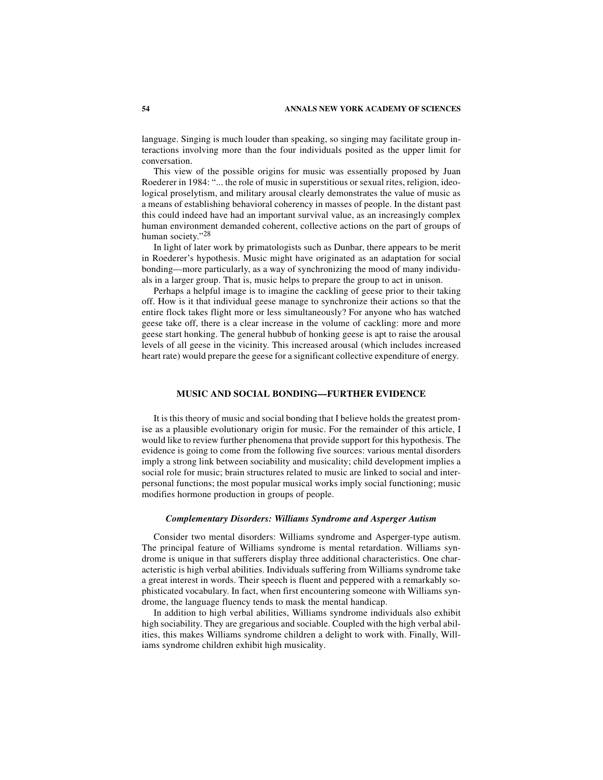language. Singing is much louder than speaking, so singing may facilitate group interactions involving more than the four individuals posited as the upper limit for conversation.

This view of the possible origins for music was essentially proposed by Juan Roederer in 1984: "... the role of music in superstitious or sexual rites, religion, ideological proselytism, and military arousal clearly demonstrates the value of music as a means of establishing behavioral coherency in masses of people. In the distant past this could indeed have had an important survival value, as an increasingly complex human environment demanded coherent, collective actions on the part of groups of human society."<sup>28</sup>

In light of later work by primatologists such as Dunbar, there appears to be merit in Roederer's hypothesis. Music might have originated as an adaptation for social bonding—more particularly, as a way of synchronizing the mood of many individuals in a larger group. That is, music helps to prepare the group to act in unison.

Perhaps a helpful image is to imagine the cackling of geese prior to their taking off. How is it that individual geese manage to synchronize their actions so that the entire flock takes flight more or less simultaneously? For anyone who has watched geese take off, there is a clear increase in the volume of cackling: more and more geese start honking. The general hubbub of honking geese is apt to raise the arousal levels of all geese in the vicinity. This increased arousal (which includes increased heart rate) would prepare the geese for a significant collective expenditure of energy.

# **MUSIC AND SOCIAL BONDING—FURTHER EVIDENCE**

It is this theory of music and social bonding that I believe holds the greatest promise as a plausible evolutionary origin for music. For the remainder of this article, I would like to review further phenomena that provide support for this hypothesis. The evidence is going to come from the following five sources: various mental disorders imply a strong link between sociability and musicality; child development implies a social role for music; brain structures related to music are linked to social and interpersonal functions; the most popular musical works imply social functioning; music modifies hormone production in groups of people.

#### *Complementary Disorders: Williams Syndrome and Asperger Autism*

Consider two mental disorders: Williams syndrome and Asperger-type autism. The principal feature of Williams syndrome is mental retardation. Williams syndrome is unique in that sufferers display three additional characteristics. One characteristic is high verbal abilities. Individuals suffering from Williams syndrome take a great interest in words. Their speech is fluent and peppered with a remarkably sophisticated vocabulary. In fact, when first encountering someone with Williams syndrome, the language fluency tends to mask the mental handicap.

In addition to high verbal abilities, Williams syndrome individuals also exhibit high sociability. They are gregarious and sociable. Coupled with the high verbal abilities, this makes Williams syndrome children a delight to work with. Finally, Williams syndrome children exhibit high musicality.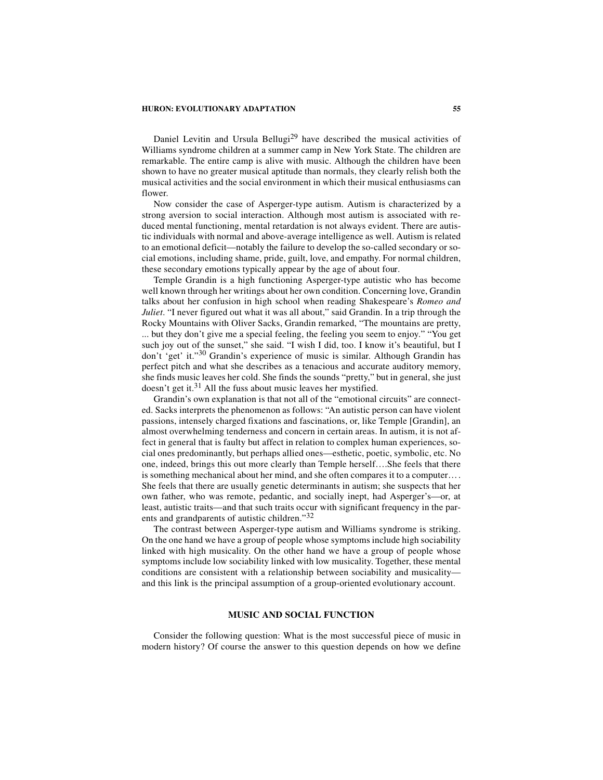Daniel Levitin and Ursula Bellugi<sup>29</sup> have described the musical activities of Williams syndrome children at a summer camp in New York State. The children are remarkable. The entire camp is alive with music. Although the children have been shown to have no greater musical aptitude than normals, they clearly relish both the musical activities and the social environment in which their musical enthusiasms can flower.

Now consider the case of Asperger-type autism. Autism is characterized by a strong aversion to social interaction. Although most autism is associated with reduced mental functioning, mental retardation is not always evident. There are autistic individuals with normal and above-average intelligence as well. Autism is related to an emotional deficit—notably the failure to develop the so-called secondary or social emotions, including shame, pride, guilt, love, and empathy. For normal children, these secondary emotions typically appear by the age of about four.

Temple Grandin is a high functioning Asperger-type autistic who has become well known through her writings about her own condition. Concerning love, Grandin talks about her confusion in high school when reading Shakespeare's *Romeo and Juliet*. "I never figured out what it was all about," said Grandin. In a trip through the Rocky Mountains with Oliver Sacks, Grandin remarked, "The mountains are pretty, ... but they don't give me a special feeling, the feeling you seem to enjoy." "You get such joy out of the sunset," she said. "I wish I did, too. I know it's beautiful, but I don't 'get' it."30 Grandin's experience of music is similar. Although Grandin has perfect pitch and what she describes as a tenacious and accurate auditory memory, she finds music leaves her cold. She finds the sounds "pretty," but in general, she just doesn't get it.<sup>31</sup> All the fuss about music leaves her mystified.

Grandin's own explanation is that not all of the "emotional circuits" are connected. Sacks interprets the phenomenon as follows: "An autistic person can have violent passions, intensely charged fixations and fascinations, or, like Temple [Grandin], an almost overwhelming tenderness and concern in certain areas. In autism, it is not affect in general that is faulty but affect in relation to complex human experiences, social ones predominantly, but perhaps allied ones—esthetic, poetic, symbolic, etc. No one, indeed, brings this out more clearly than Temple herself….She feels that there is something mechanical about her mind, and she often compares it to a computer.... She feels that there are usually genetic determinants in autism; she suspects that her own father, who was remote, pedantic, and socially inept, had Asperger's—or, at least, autistic traits—and that such traits occur with significant frequency in the parents and grandparents of autistic children."<sup>32</sup>

The contrast between Asperger-type autism and Williams syndrome is striking. On the one hand we have a group of people whose symptoms include high sociability linked with high musicality. On the other hand we have a group of people whose symptoms include low sociability linked with low musicality. Together, these mental conditions are consistent with a relationship between sociability and musicality and this link is the principal assumption of a group-oriented evolutionary account.

# **MUSIC AND SOCIAL FUNCTION**

Consider the following question: What is the most successful piece of music in modern history? Of course the answer to this question depends on how we define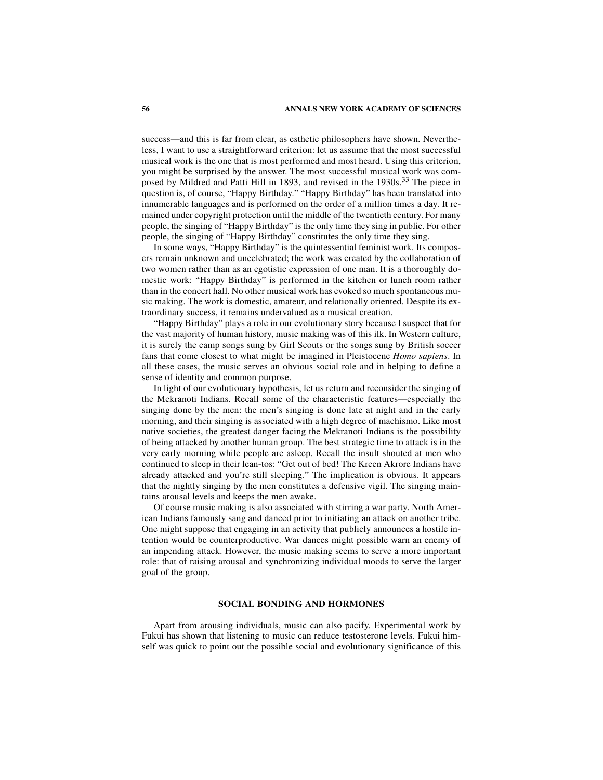success—and this is far from clear, as esthetic philosophers have shown. Nevertheless, I want to use a straightforward criterion: let us assume that the most successful musical work is the one that is most performed and most heard. Using this criterion, you might be surprised by the answer. The most successful musical work was composed by Mildred and Patti Hill in 1893, and revised in the 1930s.<sup>33</sup> The piece in question is, of course, "Happy Birthday." "Happy Birthday" has been translated into innumerable languages and is performed on the order of a million times a day. It remained under copyright protection until the middle of the twentieth century. For many people, the singing of "Happy Birthday" is the only time they sing in public. For other people, the singing of "Happy Birthday" constitutes the only time they sing.

In some ways, "Happy Birthday" is the quintessential feminist work. Its composers remain unknown and uncelebrated; the work was created by the collaboration of two women rather than as an egotistic expression of one man. It is a thoroughly domestic work: "Happy Birthday" is performed in the kitchen or lunch room rather than in the concert hall. No other musical work has evoked so much spontaneous music making. The work is domestic, amateur, and relationally oriented. Despite its extraordinary success, it remains undervalued as a musical creation.

"Happy Birthday" plays a role in our evolutionary story because I suspect that for the vast majority of human history, music making was of this ilk. In Western culture, it is surely the camp songs sung by Girl Scouts or the songs sung by British soccer fans that come closest to what might be imagined in Pleistocene *Homo sapiens*. In all these cases, the music serves an obvious social role and in helping to define a sense of identity and common purpose.

In light of our evolutionary hypothesis, let us return and reconsider the singing of the Mekranoti Indians. Recall some of the characteristic features—especially the singing done by the men: the men's singing is done late at night and in the early morning, and their singing is associated with a high degree of machismo. Like most native societies, the greatest danger facing the Mekranoti Indians is the possibility of being attacked by another human group. The best strategic time to attack is in the very early morning while people are asleep. Recall the insult shouted at men who continued to sleep in their lean-tos: "Get out of bed! The Kreen Akrore Indians have already attacked and you're still sleeping." The implication is obvious. It appears that the nightly singing by the men constitutes a defensive vigil. The singing maintains arousal levels and keeps the men awake.

Of course music making is also associated with stirring a war party. North American Indians famously sang and danced prior to initiating an attack on another tribe. One might suppose that engaging in an activity that publicly announces a hostile intention would be counterproductive. War dances might possible warn an enemy of an impending attack. However, the music making seems to serve a more important role: that of raising arousal and synchronizing individual moods to serve the larger goal of the group.

# **SOCIAL BONDING AND HORMONES**

Apart from arousing individuals, music can also pacify. Experimental work by Fukui has shown that listening to music can reduce testosterone levels. Fukui himself was quick to point out the possible social and evolutionary significance of this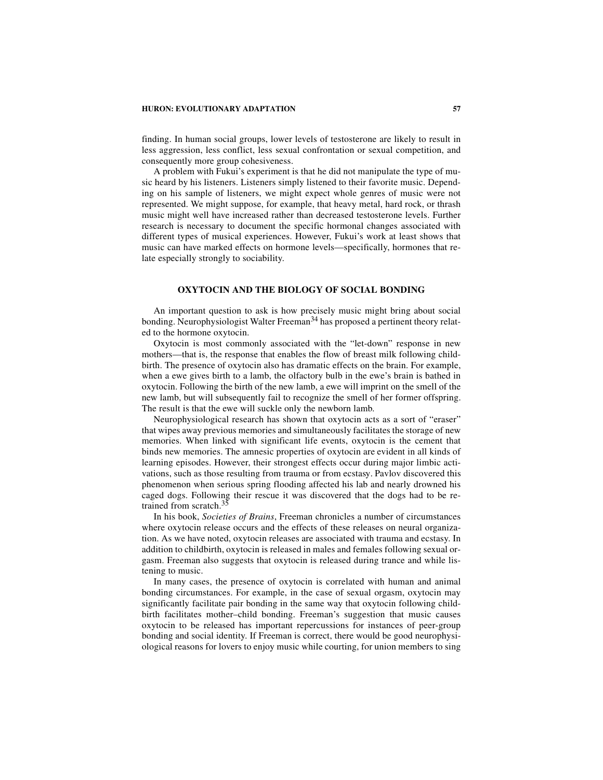finding. In human social groups, lower levels of testosterone are likely to result in less aggression, less conflict, less sexual confrontation or sexual competition, and consequently more group cohesiveness.

A problem with Fukui's experiment is that he did not manipulate the type of music heard by his listeners. Listeners simply listened to their favorite music. Depending on his sample of listeners, we might expect whole genres of music were not represented. We might suppose, for example, that heavy metal, hard rock, or thrash music might well have increased rather than decreased testosterone levels. Further research is necessary to document the specific hormonal changes associated with different types of musical experiences. However, Fukui's work at least shows that music can have marked effects on hormone levels—specifically, hormones that relate especially strongly to sociability.

# **OXYTOCIN AND THE BIOLOGY OF SOCIAL BONDING**

An important question to ask is how precisely music might bring about social bonding. Neurophysiologist Walter Freeman<sup>34</sup> has proposed a pertinent theory related to the hormone oxytocin.

Oxytocin is most commonly associated with the "let-down" response in new mothers—that is, the response that enables the flow of breast milk following childbirth. The presence of oxytocin also has dramatic effects on the brain. For example, when a ewe gives birth to a lamb, the olfactory bulb in the ewe's brain is bathed in oxytocin. Following the birth of the new lamb, a ewe will imprint on the smell of the new lamb, but will subsequently fail to recognize the smell of her former offspring. The result is that the ewe will suckle only the newborn lamb.

Neurophysiological research has shown that oxytocin acts as a sort of "eraser" that wipes away previous memories and simultaneously facilitates the storage of new memories. When linked with significant life events, oxytocin is the cement that binds new memories. The amnesic properties of oxytocin are evident in all kinds of learning episodes. However, their strongest effects occur during major limbic activations, such as those resulting from trauma or from ecstasy. Pavlov discovered this phenomenon when serious spring flooding affected his lab and nearly drowned his caged dogs. Following their rescue it was discovered that the dogs had to be retrained from scratch.<sup>35</sup>

In his book, *Societies of Brains*, Freeman chronicles a number of circumstances where oxytocin release occurs and the effects of these releases on neural organization. As we have noted, oxytocin releases are associated with trauma and ecstasy. In addition to childbirth, oxytocin is released in males and females following sexual orgasm. Freeman also suggests that oxytocin is released during trance and while listening to music.

In many cases, the presence of oxytocin is correlated with human and animal bonding circumstances. For example, in the case of sexual orgasm, oxytocin may significantly facilitate pair bonding in the same way that oxytocin following childbirth facilitates mother–child bonding. Freeman's suggestion that music causes oxytocin to be released has important repercussions for instances of peer-group bonding and social identity. If Freeman is correct, there would be good neurophysiological reasons for lovers to enjoy music while courting, for union members to sing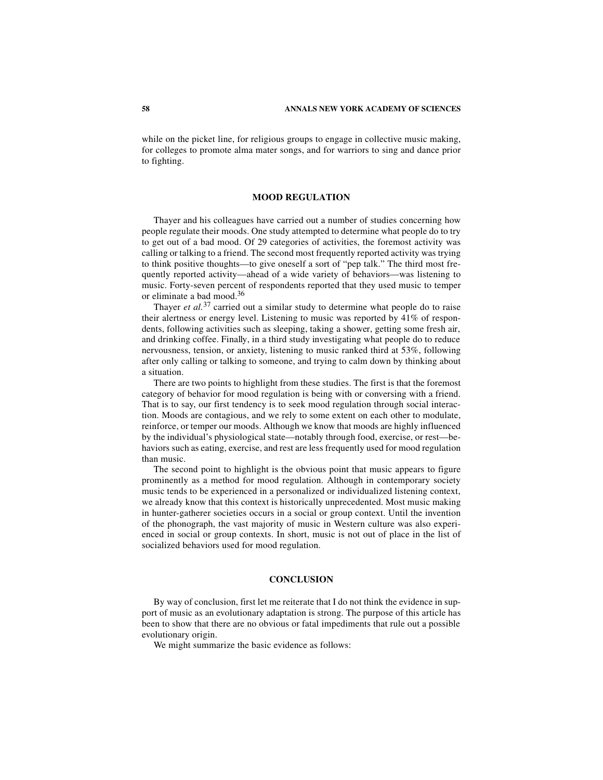while on the picket line, for religious groups to engage in collective music making, for colleges to promote alma mater songs, and for warriors to sing and dance prior to fighting.

### **MOOD REGULATION**

Thayer and his colleagues have carried out a number of studies concerning how people regulate their moods. One study attempted to determine what people do to try to get out of a bad mood. Of 29 categories of activities, the foremost activity was calling or talking to a friend. The second most frequently reported activity was trying to think positive thoughts—to give oneself a sort of "pep talk." The third most frequently reported activity—ahead of a wide variety of behaviors—was listening to music. Forty-seven percent of respondents reported that they used music to temper or eliminate a bad mood.36

Thayer *et al.*<sup>37</sup> carried out a similar study to determine what people do to raise their alertness or energy level. Listening to music was reported by 41% of respondents, following activities such as sleeping, taking a shower, getting some fresh air, and drinking coffee. Finally, in a third study investigating what people do to reduce nervousness, tension, or anxiety, listening to music ranked third at 53%, following after only calling or talking to someone, and trying to calm down by thinking about a situation.

There are two points to highlight from these studies. The first is that the foremost category of behavior for mood regulation is being with or conversing with a friend. That is to say, our first tendency is to seek mood regulation through social interaction. Moods are contagious, and we rely to some extent on each other to modulate, reinforce, or temper our moods. Although we know that moods are highly influenced by the individual's physiological state—notably through food, exercise, or rest—behaviors such as eating, exercise, and rest are less frequently used for mood regulation than music.

The second point to highlight is the obvious point that music appears to figure prominently as a method for mood regulation. Although in contemporary society music tends to be experienced in a personalized or individualized listening context, we already know that this context is historically unprecedented. Most music making in hunter-gatherer societies occurs in a social or group context. Until the invention of the phonograph, the vast majority of music in Western culture was also experienced in social or group contexts. In short, music is not out of place in the list of socialized behaviors used for mood regulation.

# **CONCLUSION**

By way of conclusion, first let me reiterate that I do not think the evidence in support of music as an evolutionary adaptation is strong. The purpose of this article has been to show that there are no obvious or fatal impediments that rule out a possible evolutionary origin.

We might summarize the basic evidence as follows: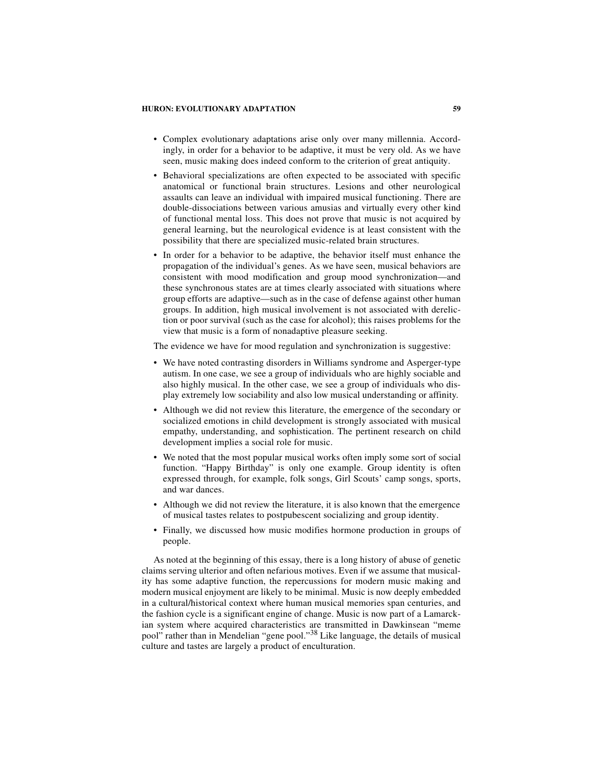- Complex evolutionary adaptations arise only over many millennia. Accordingly, in order for a behavior to be adaptive, it must be very old. As we have seen, music making does indeed conform to the criterion of great antiquity.
- Behavioral specializations are often expected to be associated with specific anatomical or functional brain structures. Lesions and other neurological assaults can leave an individual with impaired musical functioning. There are double-dissociations between various amusias and virtually every other kind of functional mental loss. This does not prove that music is not acquired by general learning, but the neurological evidence is at least consistent with the possibility that there are specialized music-related brain structures.
- In order for a behavior to be adaptive, the behavior itself must enhance the propagation of the individual's genes. As we have seen, musical behaviors are consistent with mood modification and group mood synchronization—and these synchronous states are at times clearly associated with situations where group efforts are adaptive—such as in the case of defense against other human groups. In addition, high musical involvement is not associated with dereliction or poor survival (such as the case for alcohol); this raises problems for the view that music is a form of nonadaptive pleasure seeking.

The evidence we have for mood regulation and synchronization is suggestive:

- We have noted contrasting disorders in Williams syndrome and Asperger-type autism. In one case, we see a group of individuals who are highly sociable and also highly musical. In the other case, we see a group of individuals who display extremely low sociability and also low musical understanding or affinity.
- Although we did not review this literature, the emergence of the secondary or socialized emotions in child development is strongly associated with musical empathy, understanding, and sophistication. The pertinent research on child development implies a social role for music.
- We noted that the most popular musical works often imply some sort of social function. "Happy Birthday" is only one example. Group identity is often expressed through, for example, folk songs, Girl Scouts' camp songs, sports, and war dances.
- Although we did not review the literature, it is also known that the emergence of musical tastes relates to postpubescent socializing and group identity.
- Finally, we discussed how music modifies hormone production in groups of people.

As noted at the beginning of this essay, there is a long history of abuse of genetic claims serving ulterior and often nefarious motives. Even if we assume that musicality has some adaptive function, the repercussions for modern music making and modern musical enjoyment are likely to be minimal. Music is now deeply embedded in a cultural/historical context where human musical memories span centuries, and the fashion cycle is a significant engine of change. Music is now part of a Lamarckian system where acquired characteristics are transmitted in Dawkinsean "meme pool" rather than in Mendelian "gene pool."38 Like language, the details of musical culture and tastes are largely a product of enculturation.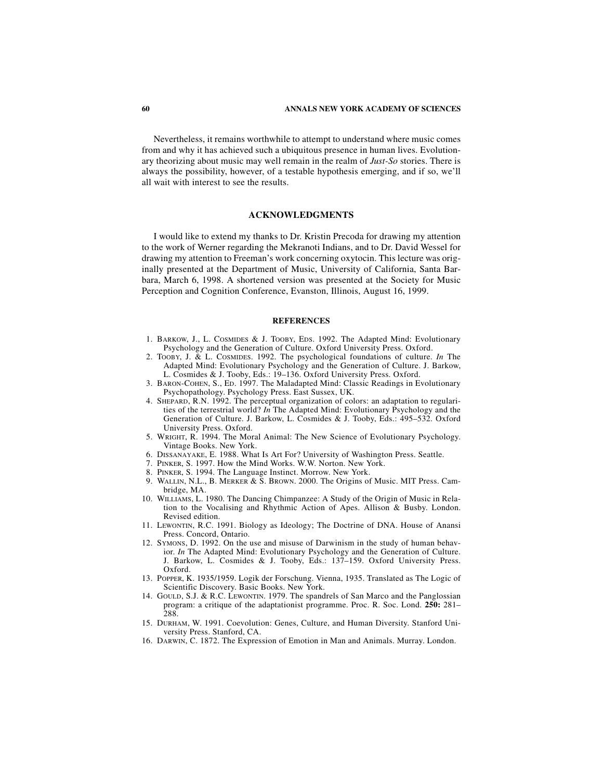Nevertheless, it remains worthwhile to attempt to understand where music comes from and why it has achieved such a ubiquitous presence in human lives. Evolutionary theorizing about music may well remain in the realm of *Just-So* stories. There is always the possibility, however, of a testable hypothesis emerging, and if so, we'll all wait with interest to see the results.

# **ACKNOWLEDGMENTS**

I would like to extend my thanks to Dr. Kristin Precoda for drawing my attention to the work of Werner regarding the Mekranoti Indians, and to Dr. David Wessel for drawing my attention to Freeman's work concerning oxytocin. This lecture was originally presented at the Department of Music, University of California, Santa Barbara, March 6, 1998. A shortened version was presented at the Society for Music Perception and Cognition Conference, Evanston, Illinois, August 16, 1999.

# **REFERENCES**

- 1. BARKOW, J., L. COSMIDES & J. TOOBY, EDS. 1992. The Adapted Mind: Evolutionary Psychology and the Generation of Culture. Oxford University Press. Oxford.
- 2. TOOBY, J. & L. COSMIDES. 1992. The psychological foundations of culture. *In* The Adapted Mind: Evolutionary Psychology and the Generation of Culture. J. Barkow, L. Cosmides & J. Tooby, Eds.: 19–136. Oxford University Press. Oxford.
- 3. BARON-COHEN, S., ED. 1997. The Maladapted Mind: Classic Readings in Evolutionary Psychopathology. Psychology Press. East Sussex, UK.
- 4. SHEPARD, R.N. 1992. The perceptual organization of colors: an adaptation to regularities of the terrestrial world? *In* The Adapted Mind: Evolutionary Psychology and the Generation of Culture. J. Barkow, L. Cosmides & J. Tooby, Eds.: 495–532. Oxford University Press. Oxford.
- 5. WRIGHT, R. 1994. The Moral Animal: The New Science of Evolutionary Psychology. Vintage Books. New York.
- 6. DISSANAYAKE, E. 1988. What Is Art For? University of Washington Press. Seattle.
- 7. PINKER, S. 1997. How the Mind Works. W.W. Norton. New York.
- 8. PINKER, S. 1994. The Language Instinct. Morrow. New York.
- 9. WALLIN, N.L., B. MERKER & S. BROWN. 2000. The Origins of Music. MIT Press. Cambridge, MA.
- 10. WILLIAMS, L. 1980. The Dancing Chimpanzee: A Study of the Origin of Music in Relation to the Vocalising and Rhythmic Action of Apes. Allison & Busby. London. Revised edition.
- 11. LEWONTIN, R.C. 1991. Biology as Ideology; The Doctrine of DNA. House of Anansi Press. Concord, Ontario.
- 12. SYMONS, D. 1992. On the use and misuse of Darwinism in the study of human behavior. *In* The Adapted Mind: Evolutionary Psychology and the Generation of Culture. J. Barkow, L. Cosmides & J. Tooby, Eds.: 137–159. Oxford University Press. Oxford.
- 13. POPPER, K. 1935/1959. Logik der Forschung. Vienna, 1935. Translated as The Logic of Scientific Discovery. Basic Books. New York.
- 14. GOULD, S.J. & R.C. LEWONTIN. 1979. The spandrels of San Marco and the Panglossian program: a critique of the adaptationist programme. Proc. R. Soc. Lond. **250:** 281– 288.
- 15. DURHAM, W. 1991. Coevolution: Genes, Culture, and Human Diversity. Stanford University Press. Stanford, CA.
- 16. DARWIN, C. 1872. The Expression of Emotion in Man and Animals. Murray. London.